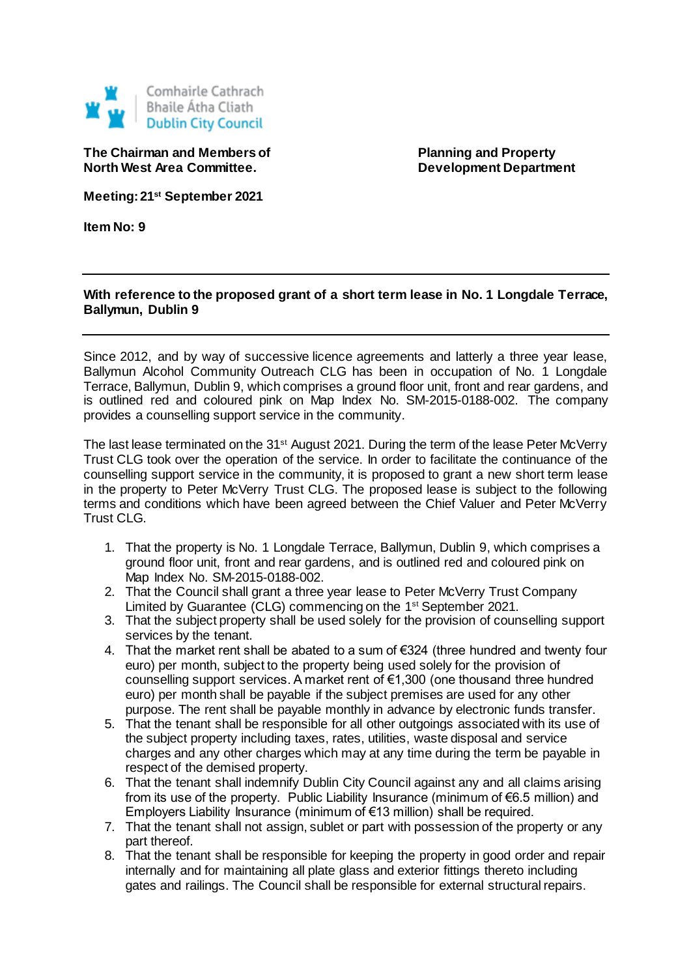

**The Chairman and Members of Planning and Property North West Area Committee. Development Department** 

**Meeting: 21st September 2021**

**Item No: 9**

## **With reference to the proposed grant of a short term lease in No. 1 Longdale Terrace, Ballymun, Dublin 9**

Since 2012, and by way of successive licence agreements and latterly a three year lease, Ballymun Alcohol Community Outreach CLG has been in occupation of No. 1 Longdale Terrace, Ballymun, Dublin 9, which comprises a ground floor unit, front and rear gardens, and is outlined red and coloured pink on Map Index No. SM-2015-0188-002. The company provides a counselling support service in the community.

The last lease terminated on the 31<sup>st</sup> August 2021. During the term of the lease Peter McVerry Trust CLG took over the operation of the service. In order to facilitate the continuance of the counselling support service in the community, it is proposed to grant a new short term lease in the property to Peter McVerry Trust CLG. The proposed lease is subject to the following terms and conditions which have been agreed between the Chief Valuer and Peter McVerry Trust CLG.

- 1. That the property is No. 1 Longdale Terrace, Ballymun, Dublin 9, which comprises a ground floor unit, front and rear gardens, and is outlined red and coloured pink on Map Index No. SM-2015-0188-002.
- 2. That the Council shall grant a three year lease to Peter McVerry Trust Company Limited by Guarantee (CLG) commencing on the 1<sup>st</sup> September 2021.
- 3. That the subject property shall be used solely for the provision of counselling support services by the tenant.
- 4. That the market rent shall be abated to a sum of  $\epsilon$ 324 (three hundred and twenty four euro) per month, subject to the property being used solely for the provision of counselling support services. A market rent of €1,300 (one thousand three hundred euro) per month shall be payable if the subject premises are used for any other purpose. The rent shall be payable monthly in advance by electronic funds transfer.
- 5. That the tenant shall be responsible for all other outgoings associated with its use of the subject property including taxes, rates, utilities, waste disposal and service charges and any other charges which may at any time during the term be payable in respect of the demised property.
- 6. That the tenant shall indemnify Dublin City Council against any and all claims arising from its use of the property. Public Liability Insurance (minimum of €6.5 million) and Employers Liability Insurance (minimum of €13 million) shall be required.
- 7. That the tenant shall not assign, sublet or part with possession of the property or any part thereof.
- 8. That the tenant shall be responsible for keeping the property in good order and repair internally and for maintaining all plate glass and exterior fittings thereto including gates and railings. The Council shall be responsible for external structural repairs.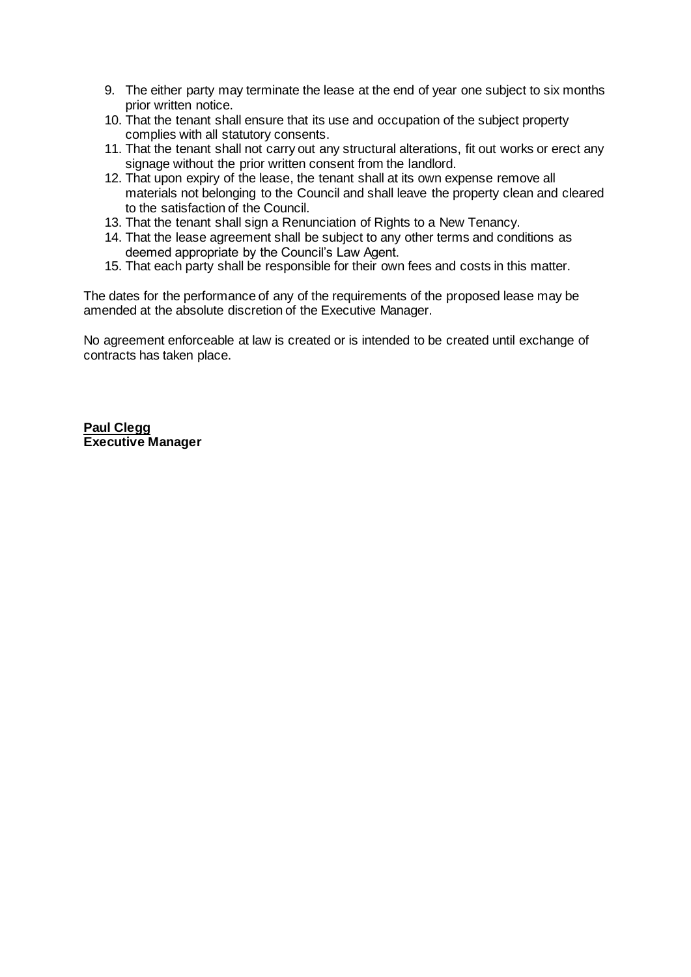- 9. The either party may terminate the lease at the end of year one subject to six months prior written notice.
- 10. That the tenant shall ensure that its use and occupation of the subject property complies with all statutory consents.
- 11. That the tenant shall not carry out any structural alterations, fit out works or erect any signage without the prior written consent from the landlord.
- 12. That upon expiry of the lease, the tenant shall at its own expense remove all materials not belonging to the Council and shall leave the property clean and cleared to the satisfaction of the Council.
- 13. That the tenant shall sign a Renunciation of Rights to a New Tenancy.
- 14. That the lease agreement shall be subject to any other terms and conditions as deemed appropriate by the Council's Law Agent.
- 15. That each party shall be responsible for their own fees and costs in this matter.

The dates for the performance of any of the requirements of the proposed lease may be amended at the absolute discretion of the Executive Manager.

No agreement enforceable at law is created or is intended to be created until exchange of contracts has taken place.

**Paul Clegg Executive Manager**